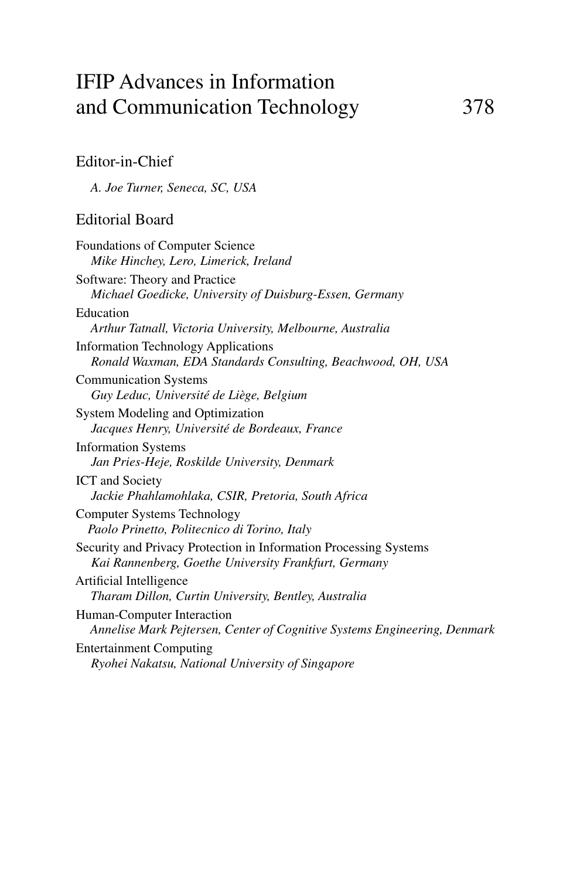# IFIP Advances in Information and Communication Technology 378

#### Editor-in-Chief

*A. Joe Turner, Seneca, SC, USA*

#### Editorial Board

Foundations of Computer Science *Mike Hinchey, Lero, Limerick, Ireland* Software: Theory and Practice *Michael Goedicke, University of Duisburg-Essen, Germany* Education *Arthur Tatnall, Victoria University, Melbourne, Australia* Information Technology Applications *Ronald Waxman, EDA Standards Consulting, Beachwood, OH, USA* Communication Systems *Guy Leduc, Université de Liège, Belgium* System Modeling and Optimization *Jacques Henry, Université de Bordeaux, France* Information Systems *Jan Pries-Heje, Roskilde University, Denmark* ICT and Society *Jackie Phahlamohlaka, CSIR, Pretoria, South Africa* Computer Systems Technology *Paolo Prinetto, Politecnico di Torino, Italy* Security and Privacy Protection in Information Processing Systems *Kai Rannenberg, Goethe University Frankfurt, Germany* Artificial Intelligence *Tharam Dillon, Curtin University, Bentley, Australia* Human-Computer Interaction *Annelise Mark Pejtersen, Center of Cognitive Systems Engineering, Denmark* Entertainment Computing *Ryohei Nakatsu, National University of Singapore*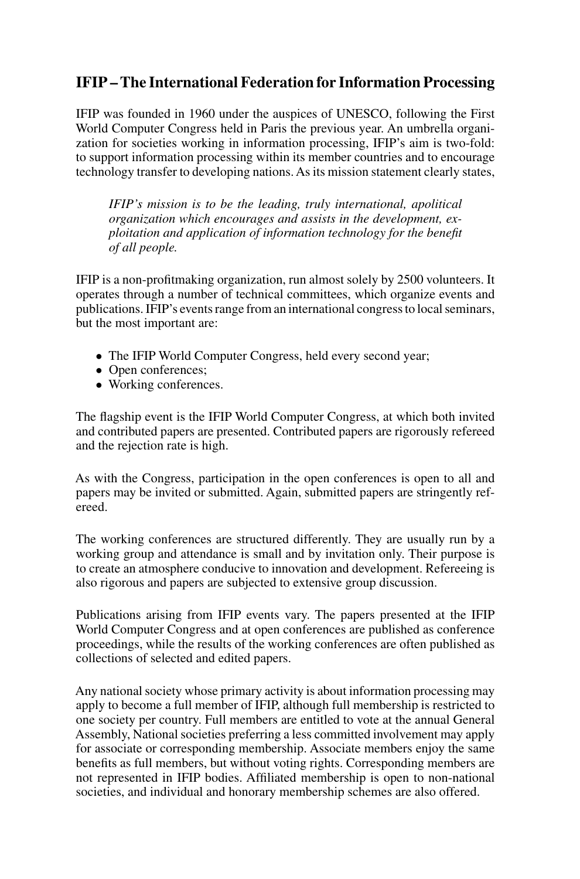#### **IFIP – The International Federation for Information Processing**

IFIP was founded in 1960 under the auspices of UNESCO, following the First World Computer Congress held in Paris the previous year. An umbrella organization for societies working in information processing, IFIP's aim is two-fold: to support information processing within its member countries and to encourage technology transfer to developing nations. As its mission statement clearly states,

*IFIP's mission is to be the leading, truly international, apolitical organization which encourages and assists in the development, exploitation and application of information technology for the benefit of all people.*

IFIP is a non-profitmaking organization, run almost solely by 2500 volunteers. It operates through a number of technical committees, which organize events and publications. IFIP's events range from an international congress to local seminars, but the most important are:

- The IFIP World Computer Congress, held every second year;
- Open conferences;
- Working conferences.

The flagship event is the IFIP World Computer Congress, at which both invited and contributed papers are presented. Contributed papers are rigorously refereed and the rejection rate is high.

As with the Congress, participation in the open conferences is open to all and papers may be invited or submitted. Again, submitted papers are stringently refereed.

The working conferences are structured differently. They are usually run by a working group and attendance is small and by invitation only. Their purpose is to create an atmosphere conducive to innovation and development. Refereeing is also rigorous and papers are subjected to extensive group discussion.

Publications arising from IFIP events vary. The papers presented at the IFIP World Computer Congress and at open conferences are published as conference proceedings, while the results of the working conferences are often published as collections of selected and edited papers.

Any national society whose primary activity is about information processing may apply to become a full member of IFIP, although full membership is restricted to one society per country. Full members are entitled to vote at the annual General Assembly, National societies preferring a less committed involvement may apply for associate or corresponding membership. Associate members enjoy the same benefits as full members, but without voting rights. Corresponding members are not represented in IFIP bodies. Affiliated membership is open to non-national societies, and individual and honorary membership schemes are also offered.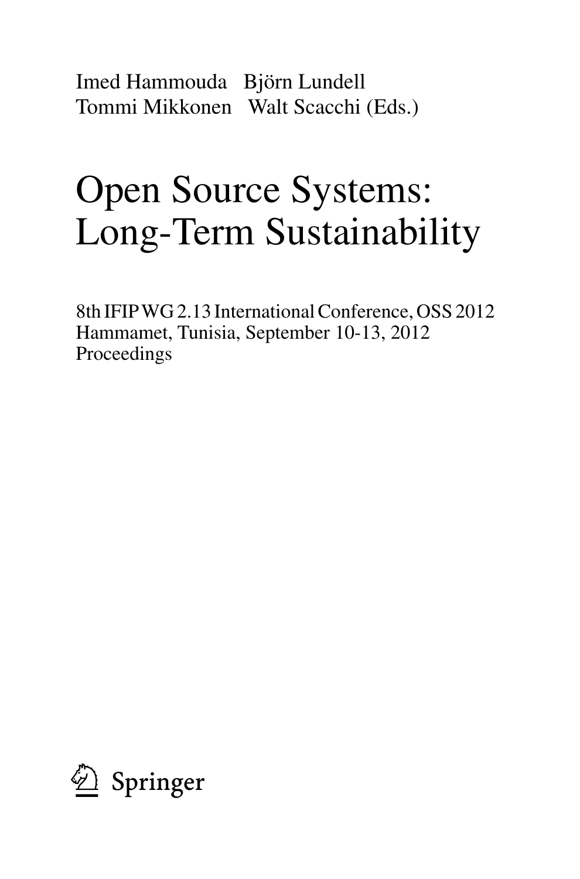Imed Hammouda Björn Lundell Tommi Mikkonen Walt Scacchi (Eds.)

# Open Source Systems: Long-Term Sustainability

8th IFIPWG 2.13 International Conference, OSS 2012 Hammamet, Tunisia, September 10-13, 2012 Proceedings

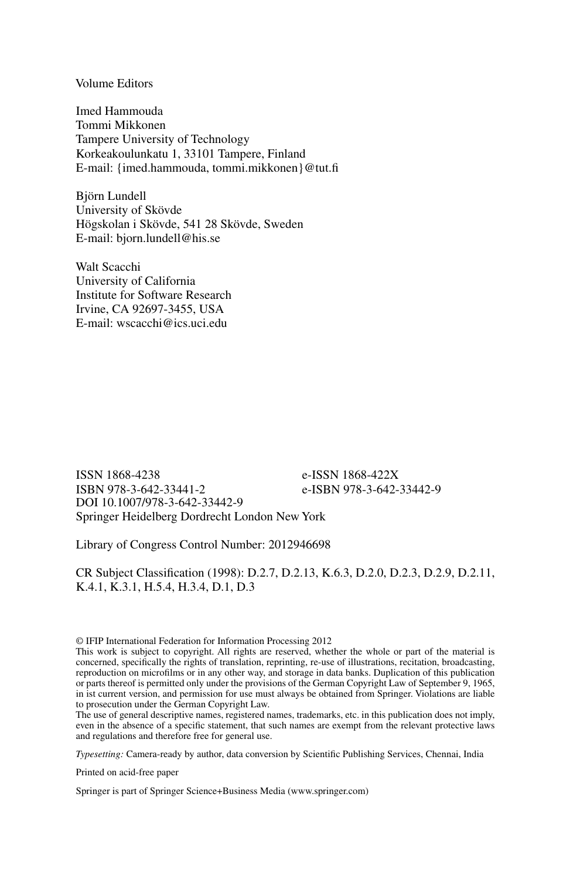Volume Editors

Imed Hammouda Tommi Mikkonen Tampere University of Technology Korkeakoulunkatu 1, 33101 Tampere, Finland E-mail: {imed.hammouda, tommi.mikkonen}@tut.fi

Björn Lundell University of Skövde Högskolan i Skövde, 541 28 Skövde, Sweden E-mail: bjorn.lundell@his.se

Walt Scacchi University of California Institute for Software Research Irvine, CA 92697-3455, USA E-mail: wscacchi@ics.uci.edu

ISSN 1868-4238 e-ISSN 1868-422X<br>ISBN 978-3-642-33441-2 e-ISBN 978-3-642e-ISBN 978-3-642-33442-9 DOI 10.1007/978-3-642-33442-9 Springer Heidelberg Dordrecht London New York

Library of Congress Control Number: 2012946698

CR Subject Classification (1998): D.2.7, D.2.13, K.6.3, D.2.0, D.2.3, D.2.9, D.2.11, K.4.1, K.3.1, H.5.4, H.3.4, D.1, D.3

© IFIP International Federation for Information Processing 2012

The use of general descriptive names, registered names, trademarks, etc. in this publication does not imply, even in the absence of a specific statement, that such names are exempt from the relevant protective laws and regulations and therefore free for general use.

*Typesetting:* Camera-ready by author, data conversion by Scientific Publishing Services, Chennai, India

Printed on acid-free paper

Springer is part of Springer Science+Business Media (www.springer.com)

This work is subject to copyright. All rights are reserved, whether the whole or part of the material is concerned, specifically the rights of translation, reprinting, re-use of illustrations, recitation, broadcasting, reproduction on microfilms or in any other way, and storage in data banks. Duplication of this publication or parts thereof is permitted only under the provisions of the German Copyright Law of September 9, 1965, in ist current version, and permission for use must always be obtained from Springer. Violations are liable to prosecution under the German Copyright Law.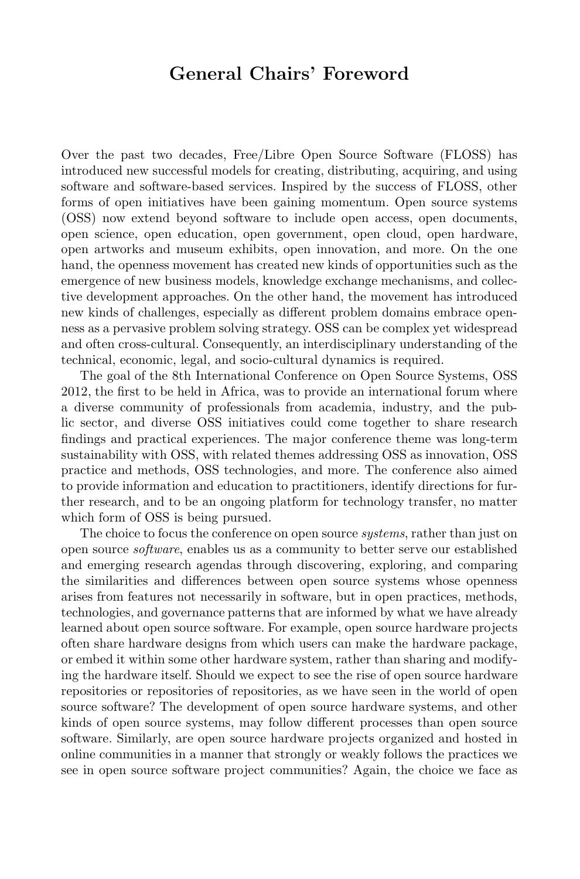## **General Chairs' Foreword**

Over the past two decades, Free/Libre Open Source Software (FLOSS) has introduced new successful models for creating, distributing, acquiring, and using software and software-based services. Inspired by the success of FLOSS, other forms of open initiatives have been gaining momentum. Open source systems (OSS) now extend beyond software to include open access, open documents, open science, open education, open government, open cloud, open hardware, open artworks and museum exhibits, open innovation, and more. On the one hand, the openness movement has created new kinds of opportunities such as the emergence of new business models, knowledge exchange mechanisms, and collective development approaches. On the other hand, the movement has introduced new kinds of challenges, especially as different problem domains embrace openness as a pervasive problem solving strategy. OSS can be complex yet widespread and often cross-cultural. Consequently, an interdisciplinary understanding of the technical, economic, legal, and socio-cultural dynamics is required.

The goal of the 8th International Conference on Open Source Systems, OSS 2012, the first to be held in Africa, was to provide an international forum where a diverse community of professionals from academia, industry, and the public sector, and diverse OSS initiatives could come together to share research findings and practical experiences. The major conference theme was long-term sustainability with OSS, with related themes addressing OSS as innovation, OSS practice and methods, OSS technologies, and more. The conference also aimed to provide information and education to practitioners, identify directions for further research, and to be an ongoing platform for technology transfer, no matter which form of OSS is being pursued.

The choice to focus the conference on open source *systems*, rather than just on open source *software*, enables us as a community to better serve our established and emerging research agendas through discovering, exploring, and comparing the similarities and differences between open source systems whose openness arises from features not necessarily in software, but in open practices, methods, technologies, and governance patterns that are informed by what we have already learned about open source software. For example, open source hardware projects often share hardware designs from which users can make the hardware package, or embed it within some other hardware system, rather than sharing and modifying the hardware itself. Should we expect to see the rise of open source hardware repositories or repositories of repositories, as we have seen in the world of open source software? The development of open source hardware systems, and other kinds of open source systems, may follow different processes than open source software. Similarly, are open source hardware projects organized and hosted in online communities in a manner that strongly or weakly follows the practices we see in open source software project communities? Again, the choice we face as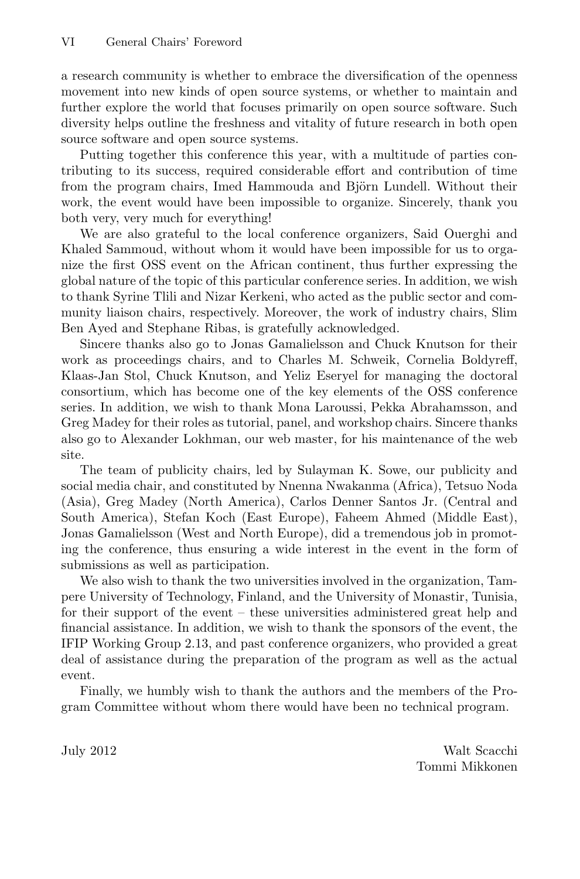a research community is whether to embrace the diversification of the openness movement into new kinds of open source systems, or whether to maintain and further explore the world that focuses primarily on open source software. Such diversity helps outline the freshness and vitality of future research in both open source software and open source systems.

Putting together this conference this year, with a multitude of parties contributing to its success, required considerable effort and contribution of time from the program chairs, Imed Hammouda and Björn Lundell. Without their work, the event would have been impossible to organize. Sincerely, thank you both very, very much for everything!

We are also grateful to the local conference organizers, Said Ouerghi and Khaled Sammoud, without whom it would have been impossible for us to organize the first OSS event on the African continent, thus further expressing the global nature of the topic of this particular conference series. In addition, we wish to thank Syrine Tlili and Nizar Kerkeni, who acted as the public sector and community liaison chairs, respectively. Moreover, the work of industry chairs, Slim Ben Ayed and Stephane Ribas, is gratefully acknowledged.

Sincere thanks also go to Jonas Gamalielsson and Chuck Knutson for their work as proceedings chairs, and to Charles M. Schweik, Cornelia Boldyreff, Klaas-Jan Stol, Chuck Knutson, and Yeliz Eseryel for managing the doctoral consortium, which has become one of the key elements of the OSS conference series. In addition, we wish to thank Mona Laroussi, Pekka Abrahamsson, and Greg Madey for their roles as tutorial, panel, and workshop chairs. Sincere thanks also go to Alexander Lokhman, our web master, for his maintenance of the web site.

The team of publicity chairs, led by Sulayman K. Sowe, our publicity and social media chair, and constituted by Nnenna Nwakanma (Africa), Tetsuo Noda (Asia), Greg Madey (North America), Carlos Denner Santos Jr. (Central and South America), Stefan Koch (East Europe), Faheem Ahmed (Middle East), Jonas Gamalielsson (West and North Europe), did a tremendous job in promoting the conference, thus ensuring a wide interest in the event in the form of submissions as well as participation.

We also wish to thank the two universities involved in the organization, Tampere University of Technology, Finland, and the University of Monastir, Tunisia, for their support of the event – these universities administered great help and financial assistance. In addition, we wish to thank the sponsors of the event, the IFIP Working Group 2.13, and past conference organizers, who provided a great deal of assistance during the preparation of the program as well as the actual event.

Finally, we humbly wish to thank the authors and the members of the Program Committee without whom there would have been no technical program.

July 2012 Walt Scacchi Tommi Mikkonen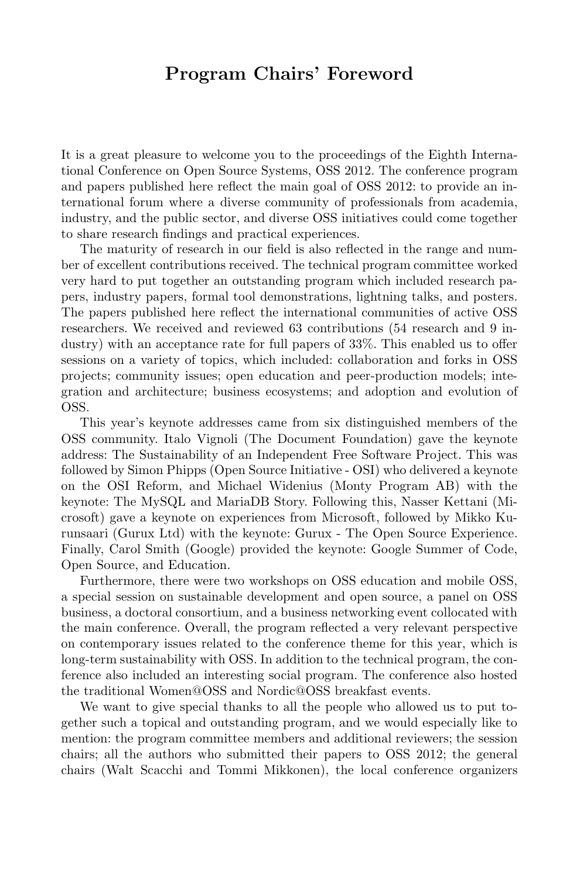## **Program Chairs' Foreword**

It is a great pleasure to welcome you to the proceedings of the Eighth International Conference on Open Source Systems, OSS 2012. The conference program and papers published here reflect the main goal of OSS 2012: to provide an international forum where a diverse community of professionals from academia, industry, and the public sector, and diverse OSS initiatives could come together to share research findings and practical experiences.

The maturity of research in our field is also reflected in the range and number of excellent contributions received. The technical program committee worked very hard to put together an outstanding program which included research papers, industry papers, formal tool demonstrations, lightning talks, and posters. The papers published here reflect the international communities of active OSS researchers. We received and reviewed 63 contributions (54 research and 9 industry) with an acceptance rate for full papers of 33%. This enabled us to offer sessions on a variety of topics, which included: collaboration and forks in OSS projects; community issues; open education and peer-production models; integration and architecture; business ecosystems; and adoption and evolution of OSS.

This year's keynote addresses came from six distinguished members of the OSS community. Italo Vignoli (The Document Foundation) gave the keynote address: The Sustainability of an Independent Free Software Project. This was followed by Simon Phipps (Open Source Initiative - OSI) who delivered a keynote on the OSI Reform, and Michael Widenius (Monty Program AB) with the keynote: The MySQL and MariaDB Story. Following this, Nasser Kettani (Microsoft) gave a keynote on experiences from Microsoft, followed by Mikko Kurunsaari (Gurux Ltd) with the keynote: Gurux - The Open Source Experience. Finally, Carol Smith (Google) provided the keynote: Google Summer of Code, Open Source, and Education.

Furthermore, there were two workshops on OSS education and mobile OSS, a special session on sustainable development and open source, a panel on OSS business, a doctoral consortium, and a business networking event collocated with the main conference. Overall, the program reflected a very relevant perspective on contemporary issues related to the conference theme for this year, which is long-term sustainability with OSS. In addition to the technical program, the conference also included an interesting social program. The conference also hosted the traditional Women@OSS and Nordic@OSS breakfast events.

We want to give special thanks to all the people who allowed us to put together such a topical and outstanding program, and we would especially like to mention: the program committee members and additional reviewers; the session chairs; all the authors who submitted their papers to OSS 2012; the general chairs (Walt Scacchi and Tommi Mikkonen), the local conference organizers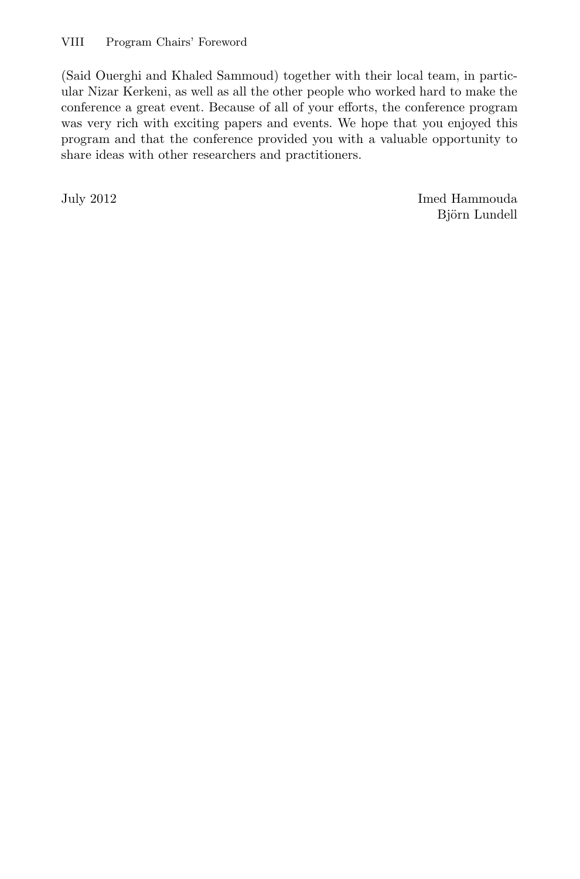(Said Ouerghi and Khaled Sammoud) together with their local team, in particular Nizar Kerkeni, as well as all the other people who worked hard to make the conference a great event. Because of all of your efforts, the conference program was very rich with exciting papers and events. We hope that you enjoyed this program and that the conference provided you with a valuable opportunity to share ideas with other researchers and practitioners.

July 2012 Imed Hammouda Björn Lundell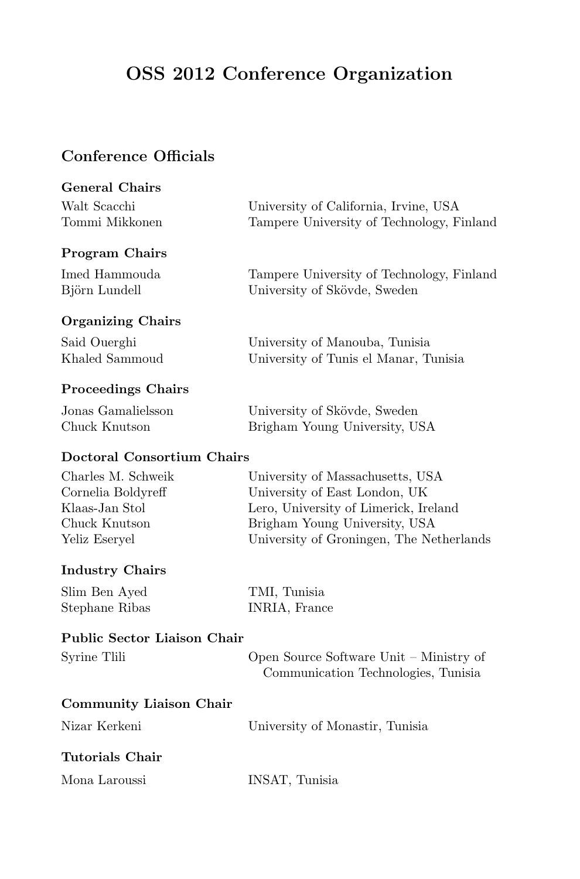# **OSS 2012 Conference Organization**

#### **Conference Officials**

#### **General Chairs**

| Walt Scacchi   | University of California, Irvine, USA     |
|----------------|-------------------------------------------|
| Tommi Mikkonen | Tampere University of Technology, Finland |

#### **Program Chairs**

Imed Hammouda Tampere University of Technology, Finland Björn Lundell University of Skövde, Sweden

#### **Organizing Chairs**

| Said Ouerghi   | University of Manouba, Tunisia        |
|----------------|---------------------------------------|
| Khaled Sammoud | University of Tunis el Manar, Tunisia |

#### **Proceedings Chairs**

| Jonas Gamalielsson | University of Skövde, Sweden  |
|--------------------|-------------------------------|
| Chuck Knutson      | Brigham Young University, USA |

#### **Doctoral Consortium Chairs**

| Charles M. Schweik | University of Massachusetts, USA         |
|--------------------|------------------------------------------|
| Cornelia Boldyreff | University of East London, UK            |
| Klaas-Jan Stol     | Lero, University of Limerick, Ireland    |
| Chuck Knutson      | Brigham Young University, USA            |
| Yeliz Eservel      | University of Groningen, The Netherlands |
|                    |                                          |

#### **Industry Chairs**

| Slim Ben Ayed  | TMI, Tunisia  |
|----------------|---------------|
| Stephane Ribas | INRIA, France |

#### **Public Sector Liaison Chair**

Syrine Tlili Open Source Software Unit – Ministry of Communication Technologies, Tunisia

#### **Community Liaison Chair**

| Nizar Kerkeni | University of Monastir, Tunisia |
|---------------|---------------------------------|
|               |                                 |

#### **Tutorials Chair**

| Mona Laroussi | <b>INSAT.</b> Tunisia |  |
|---------------|-----------------------|--|
|---------------|-----------------------|--|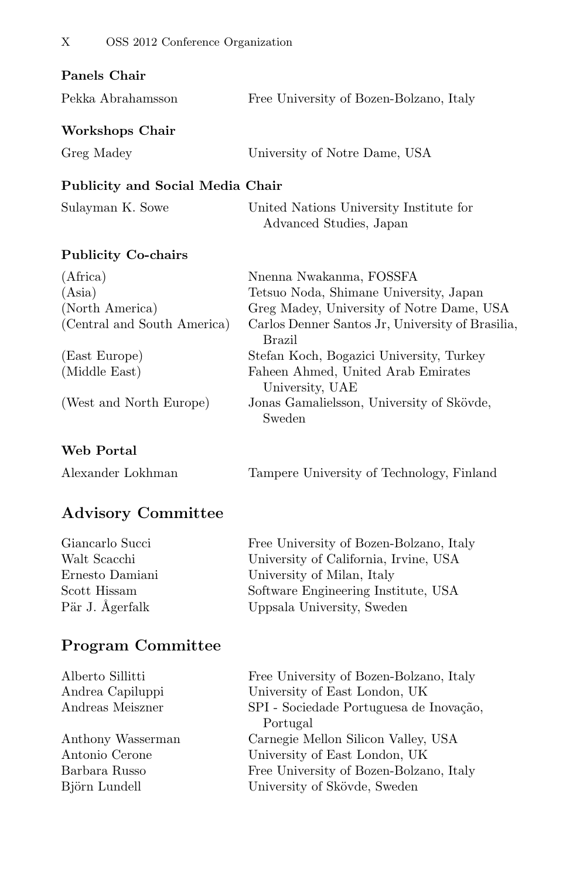| Panels Chair                     |                                                                    |
|----------------------------------|--------------------------------------------------------------------|
| Pekka Abrahamsson                | Free University of Bozen-Bolzano, Italy                            |
| Workshops Chair                  |                                                                    |
|                                  |                                                                    |
| Greg Madey                       | University of Notre Dame, USA                                      |
| Publicity and Social Media Chair |                                                                    |
| Sulayman K. Sowe                 | United Nations University Institute for<br>Advanced Studies, Japan |
| <b>Publicity Co-chairs</b>       |                                                                    |
| (Africa)                         | Nnenna Nwakanma, FOSSFA                                            |
| (Asia)                           | Tetsuo Noda, Shimane University, Japan                             |
| (North America)                  | Greg Madey, University of Notre Dame, USA                          |
| (Central and South America)      | Carlos Denner Santos Jr, University of Brasilia,<br><b>Brazil</b>  |
| (East Europe)                    | Stefan Koch, Bogazici University, Turkey                           |
| (Middle East)                    | Faheen Ahmed, United Arab Emirates<br>University, UAE              |
| (West and North Europe)          | Jonas Gamalielsson, University of Skövde,<br>Sweden                |
| <b>Web Portal</b>                |                                                                    |
| Alexander Lokhman                | Tampere University of Technology, Finland                          |

#### **Advisory Committee**

| Giancarlo Succi | Free University of Bozen-Bolzano, Italy |
|-----------------|-----------------------------------------|
| Walt Scacchi    | University of California, Irvine, USA   |
| Ernesto Damiani | University of Milan, Italy              |
| Scott Hissam    | Software Engineering Institute, USA     |
| Pär J. Ågerfalk | Uppsala University, Sweden              |

#### **Program Committee**

Alberto Sillitti Free University of Bozen-Bolzano, Italy Andrea Capiluppi University of East London, UK Andreas Meiszner SPI - Sociedade Portuguesa de Inovação, Portugal Anthony Wasserman Carnegie Mellon Silicon Valley, USA Antonio Cerone University of East London, UK Barbara Russo Free University of Bozen-Bolzano, Italy Björn Lundell University of Skövde, Sweden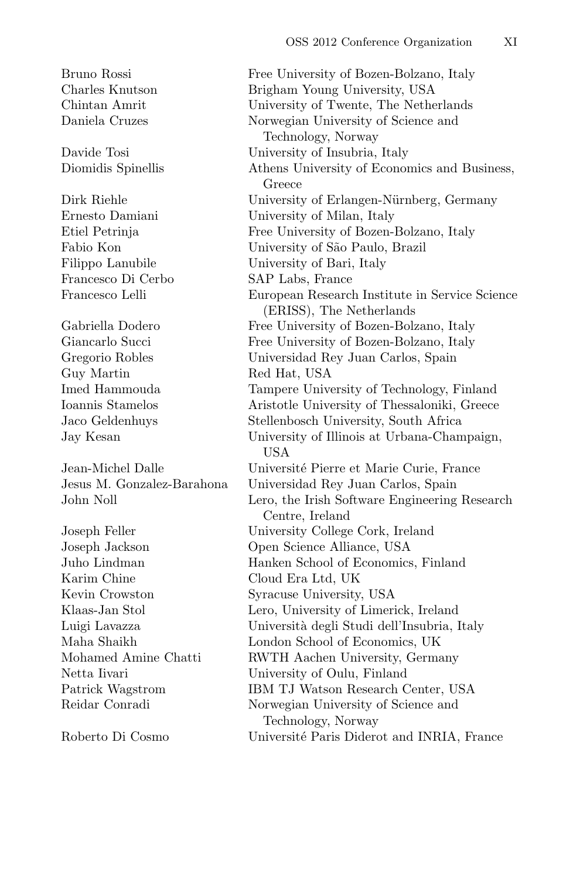- Francesco Di Cerbo SAP Labs, France<br>Francesco Lelli Buropean Researc
- Guy Martin Red Hat, USA

Karim Chine Cloud Era Ltd, UK

Bruno Rossi Free University of Bozen-Bolzano, Italy Charles Knutson Brigham Young University, USA<br>Chintan Amrit University of Twente. The Nethe University of Twente, The Netherlands Daniela Cruzes Norwegian University of Science and Technology, Norway Davide Tosi University of Insubria, Italy Diomidis Spinellis Athens University of Economics and Business, Greece Dirk Riehle University of Erlangen-Nürnberg, Germany Ernesto Damiani University of Milan, Italy Etiel Petrinja Free University of Bozen-Bolzano, Italy Fabio Kon University of São Paulo, Brazil Filippo Lanubile University of Bari, Italy European Research Institute in Service Science (ERISS), The Netherlands Gabriella Dodero Free University of Bozen-Bolzano, Italy Giancarlo Succi Free University of Bozen-Bolzano, Italy Gregorio Robles Universidad Rey Juan Carlos, Spain Imed Hammouda Tampere University of Technology, Finland Ioannis Stamelos Aristotle University of Thessaloniki, Greece Jaco Geldenhuys Stellenbosch University, South Africa Jay Kesan University of Illinois at Urbana-Champaign, USA Jean-Michel Dalle Université Pierre et Marie Curie, France Jesus M. Gonzalez-Barahona Universidad Rey Juan Carlos, Spain John Noll Lero, the Irish Software Engineering Research Centre, Ireland Joseph Feller University College Cork, Ireland Joseph Jackson Open Science Alliance, USA Juho Lindman Hanken School of Economics, Finland Kevin Crowston Syracuse University, USA Klaas-Jan Stol Lero, University of Limerick, Ireland Luigi Lavazza Università degli Studi dell'Insubria, Italy Maha Shaikh London School of Economics, UK Mohamed Amine Chatti RWTH Aachen University, Germany Netta Iivari University of Oulu, Finland Patrick Wagstrom IBM TJ Watson Research Center, USA Reidar Conradi Norwegian University of Science and Technology, Norway Roberto Di Cosmo Université Paris Diderot and INRIA, France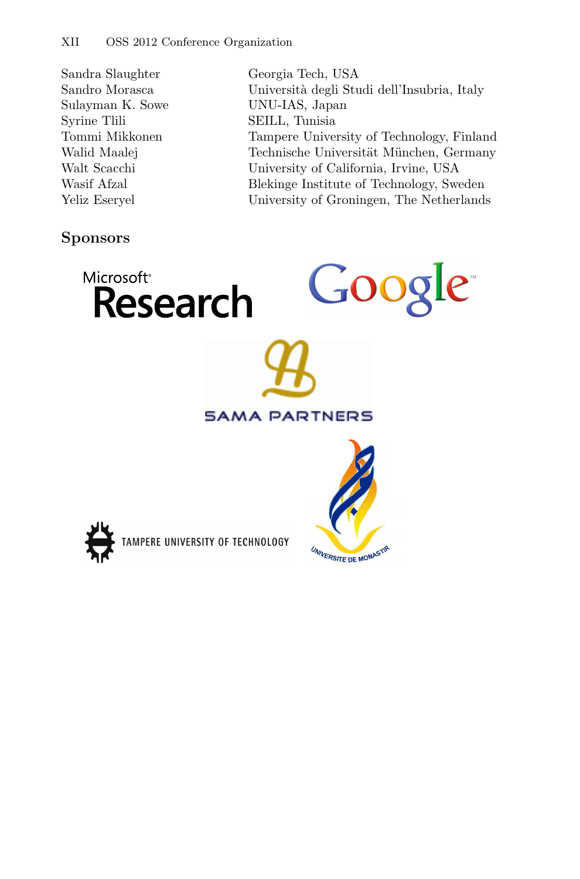Sulayman K. Sowe UNU-IAS, Japan Syrine Tlili SEILL, Tunisia

**Sponsors**

Sandra Slaughter Georgia Tech, USA Sandro Morasca Università degli Studi dell'Insubria, Italy Tommi Mikkonen Tampere University of Technology, Finland Walid Maalej Technische Universität München, Germany Walt Scacchi University of California, Irvine, USA Wasif Afzal Blekinge Institute of Technology, Sweden Yeliz Eseryel University of Groningen, The Netherlands





TAMPERE UNIVERSITY OF TECHNOLOGY

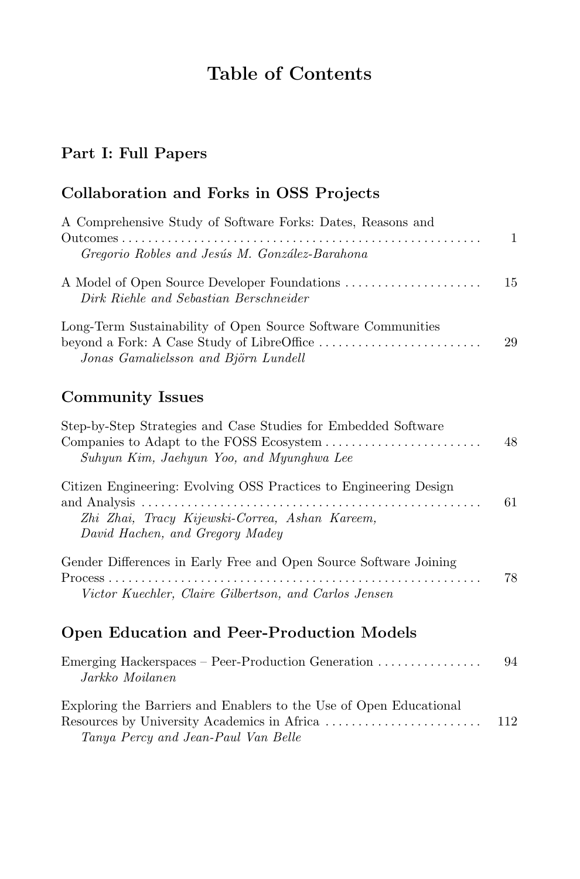## **Table of Contents**

## **Part I: Full Papers**

#### **Collaboration and Forks in OSS Projects**

| A Comprehensive Study of Software Forks: Dates, Reasons and  |              |
|--------------------------------------------------------------|--------------|
|                                                              | $\mathbf{1}$ |
| Gregorio Robles and Jesús M. González-Barahona               |              |
|                                                              | 15           |
| Dirk Riehle and Sebastian Berschneider                       |              |
| Long-Term Sustainability of Open Source Software Communities |              |
|                                                              | 29           |
| Jonas Gamalielsson and Björn Lundell                         |              |

## **Community Issues**

| Step-by-Step Strategies and Case Studies for Embedded Software<br>Suhyun Kim, Jaehyun Yoo, and Myunghwa Lee                                            | 48 |
|--------------------------------------------------------------------------------------------------------------------------------------------------------|----|
| Citizen Engineering: Evolving OSS Practices to Engineering Design<br>Zhi Zhai, Tracy Kijewski-Correa, Ashan Kareem,<br>David Hachen, and Gregory Madey | 61 |
| Gender Differences in Early Free and Open Source Software Joining<br>Victor Kuechler, Claire Gilbertson, and Carlos Jensen                             | 78 |

## **Open Education and Peer-Production Models**

| Emerging Hackerspaces – Peer-Production Generation                 | -94 |
|--------------------------------------------------------------------|-----|
| Jarkko Moilanen                                                    |     |
| Exploring the Barriers and Enablers to the Use of Open Educational |     |
|                                                                    |     |
| Tanya Percy and Jean-Paul Van Belle                                |     |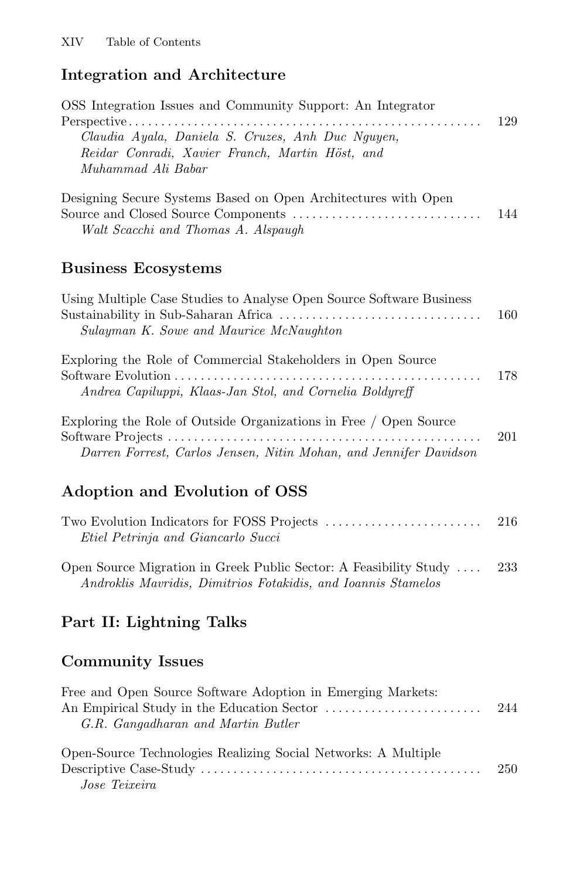#### **Integration and Architecture**

| OSS Integration Issues and Community Support: An Integrator                                           |      |
|-------------------------------------------------------------------------------------------------------|------|
|                                                                                                       | 129  |
| Claudia Ayala, Daniela S. Cruzes, Anh Duc Nguyen,                                                     |      |
| Reidar Conradi, Xavier Franch, Martin Höst, and                                                       |      |
| Muhammad Ali Babar                                                                                    |      |
| Designing Secure Systems Based on Open Architectures with Open<br>Walt Scacchi and Thomas A. Alspaugh | -144 |

## **Business Ecosystems**

| Using Multiple Case Studies to Analyse Open Source Software Business<br>Sulayman K. Sowe and Maurice McNaughton                        | 160 |
|----------------------------------------------------------------------------------------------------------------------------------------|-----|
| Exploring the Role of Commercial Stakeholders in Open Source<br>Andrea Capiluppi, Klaas-Jan Stol, and Cornelia Boldyreff               | 178 |
| Exploring the Role of Outside Organizations in Free / Open Source<br>Darren Forrest, Carlos Jensen, Nitin Mohan, and Jennifer Davidson | 201 |

## **Adoption and Evolution of OSS**

| <i>Etiel Petrinja and Giancarlo Succi</i>                         |      |
|-------------------------------------------------------------------|------|
|                                                                   |      |
| Open Source Migration in Greek Public Sector: A Feasibility Study | -233 |
| Androklis Mavridis, Dimitrios Fotakidis, and Ioannis Stamelos     |      |

#### **Part II: Lightning Talks**

#### **Community Issues**

| Free and Open Source Software Adoption in Emerging Markets:    |     |
|----------------------------------------------------------------|-----|
|                                                                | 244 |
| G.R. Gangadharan and Martin Butler                             |     |
|                                                                |     |
| Open-Source Technologies Realizing Social Networks: A Multiple |     |
|                                                                | 250 |
| <i>Jose Teixeira</i>                                           |     |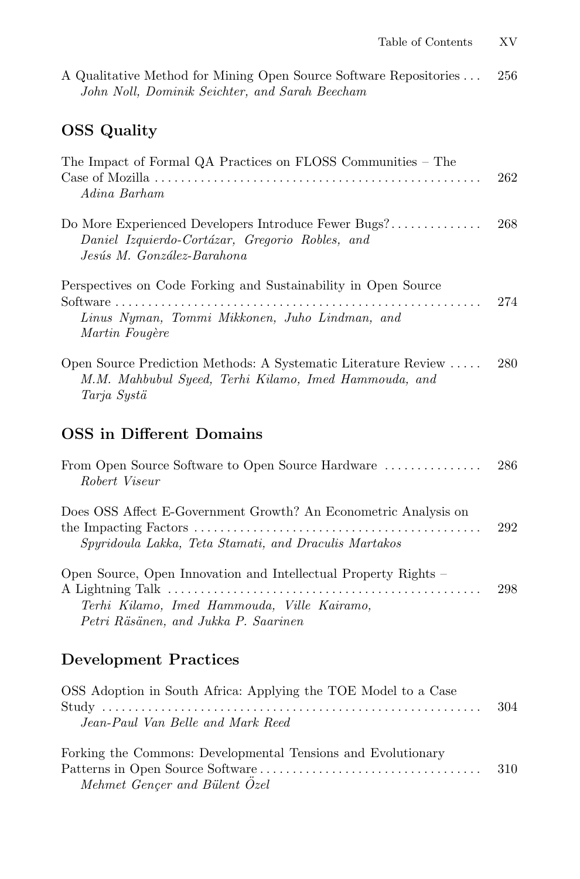| A Qualitative Method for Mining Open Source Software Repositories | 256 |
|-------------------------------------------------------------------|-----|
| John Noll, Dominik Seichter, and Sarah Beecham                    |     |

## **OSS Quality**

| The Impact of Formal QA Practices on FLOSS Communities – The<br>Adina Barham                                                              | 262 |
|-------------------------------------------------------------------------------------------------------------------------------------------|-----|
| Do More Experienced Developers Introduce Fewer Bugs?<br>Daniel Izquierdo-Cortázar, Gregorio Robles, and<br>Jesús M. González-Barahona     | 268 |
| Perspectives on Code Forking and Sustainability in Open Source<br>Linus Nyman, Tommi Mikkonen, Juho Lindman, and                          | 274 |
| Martin Fougère<br>Open Source Prediction Methods: A Systematic Literature Review<br>M.M. Mahbubul Syeed, Terhi Kilamo, Imed Hammouda, and | 280 |
| Tarja Systä<br><b>OSS</b> in Different Domains                                                                                            |     |
| From Open Source Software to Open Source Hardware<br>Robert Viseur                                                                        | 286 |
| Does OSS Affect E-Government Growth? An Econometric Analysis on<br>Spyridoula Lakka, Teta Stamati, and Draculis Martakos                  | 292 |
| Open Source, Open Innovation and Intellectual Property Rights –<br>Terhi Kilamo, Imed Hammouda, Ville Kairamo,                            | 298 |

# **Development Practices**

*Petri R¨as¨anen, and Jukka P. Saarinen*

| OSS Adoption in South Africa: Applying the TOE Model to a Case |     |
|----------------------------------------------------------------|-----|
|                                                                | 304 |
| Jean-Paul Van Belle and Mark Reed                              |     |
|                                                                |     |
| Forking the Commons: Developmental Tensions and Evolutionary   |     |
|                                                                |     |
| Mehmet Gençer and Bülent Özel                                  |     |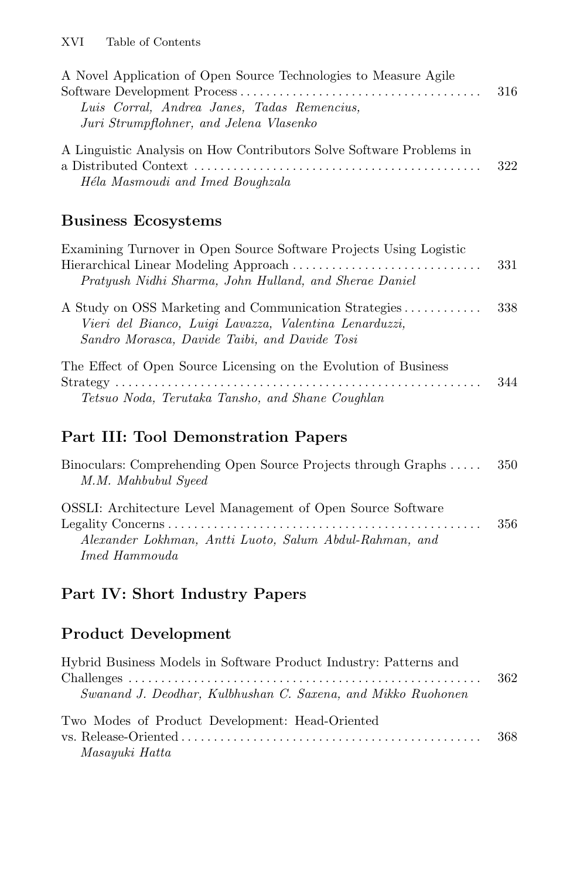| A Novel Application of Open Source Technologies to Measure Agile     |       |
|----------------------------------------------------------------------|-------|
|                                                                      | - 316 |
| Luis Corral, Andrea Janes, Tadas Remencius,                          |       |
| Juri Strumpflohner, and Jelena Vlasenko                              |       |
| A Linguistic Analysis on How Contributors Solve Software Problems in |       |
|                                                                      | 322   |

#### **Business Ecosystems**

| Examining Turnover in Open Source Software Projects Using Logistic                                                                                               |     |
|------------------------------------------------------------------------------------------------------------------------------------------------------------------|-----|
|                                                                                                                                                                  | 331 |
| Pratyush Nidhi Sharma, John Hulland, and Sherae Daniel                                                                                                           |     |
| A Study on OSS Marketing and Communication Strategies<br>Vieri del Bianco, Luigi Lavazza, Valentina Lenarduzzi,<br>Sandro Morasca, Davide Taibi, and Davide Tosi | 338 |
| The Effect of Open Source Licensing on the Evolution of Business                                                                                                 | 344 |

## **Part III: Tool Demonstration Papers**

*Tetsuo Noda, Terutaka Tansho, and Shane Coughlan*

| Binoculars: Comprehending Open Source Projects through Graphs  350<br>M.M. Mahbubul Syeed |     |
|-------------------------------------------------------------------------------------------|-----|
| OSSLI: Architecture Level Management of Open Source Software                              |     |
|                                                                                           | 356 |
| Alexander Lokhman, Antti Luoto, Salum Abdul-Rahman, and                                   |     |
| Imed Hammouda                                                                             |     |

## **Part IV: Short Industry Papers**

## **Product Development**

| Hybrid Business Models in Software Product Industry: Patterns and |     |
|-------------------------------------------------------------------|-----|
|                                                                   | 362 |
| Swanand J. Deodhar, Kulbhushan C. Saxena, and Mikko Ruohonen      |     |
| Two Modes of Product Development: Head-Oriented                   |     |
|                                                                   | 368 |
| Masayuki Hatta                                                    |     |